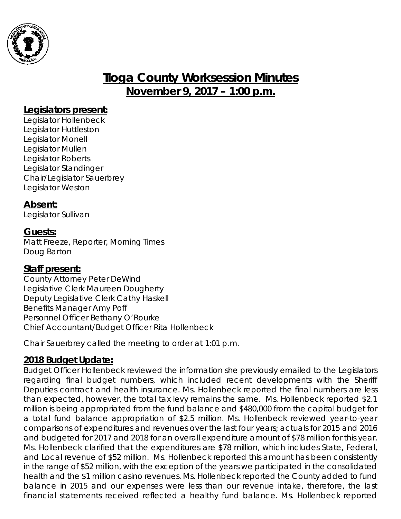

# **Tioga County Worksession Minutes November 9, 2017 – 1:00 p.m.**

#### **Legislators present:**

Legislator Hollenbeck Legislator Huttleston Legislator Monell Legislator Mullen Legislator Roberts Legislator Standinger Chair/Legislator Sauerbrey Legislator Weston

### **Absent:**

Legislator Sullivan

### **Guests:**

Matt Freeze, Reporter, Morning Times Doug Barton

#### **Staff present:**

County Attorney Peter DeWind Legislative Clerk Maureen Dougherty Deputy Legislative Clerk Cathy Haskell Benefits Manager Amy Poff Personnel Officer Bethany O'Rourke Chief Accountant/Budget Officer Rita Hollenbeck

Chair Sauerbrey called the meeting to order at 1:01 p.m.

### **2018 Budget Update:**

Budget Officer Hollenbeck reviewed the information she previously emailed to the Legislators regarding final budget numbers, which included recent developments with the Sheriff Deputies contract and health insurance. Ms. Hollenbeck reported the final numbers are less than expected, however, the total tax levy remains the same. Ms. Hollenbeck reported \$2.1 million is being appropriated from the fund balance and \$480,000 from the capital budget for a total fund balance appropriation of \$2.5 million. Ms. Hollenbeck reviewed year-to-year comparisons of expenditures and revenues over the last four years; actuals for 2015 and 2016 and budgeted for 2017 and 2018 for an overall expenditure amount of \$78 million for this year. Ms. Hollenbeck clarified that the expenditures are \$78 million, which includes State, Federal, and Local revenue of \$52 million. Ms. Hollenbeck reported this amount has been consistently in the range of \$52 million, with the exception of the years we participated in the consolidated health and the \$1 million casino revenues. Ms. Hollenbeck reported the County added to fund balance in 2015 and our expenses were less than our revenue intake, therefore, the last financial statements received reflected a healthy fund balance. Ms. Hollenbeck reported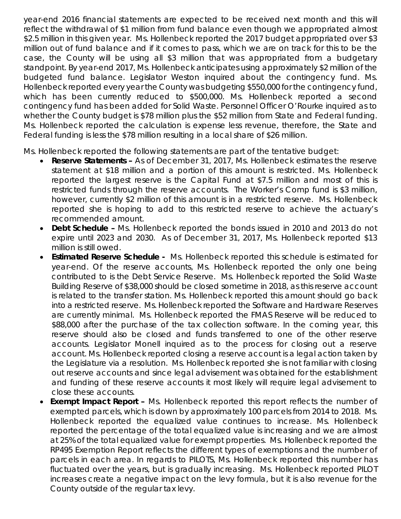year-end 2016 financial statements are expected to be received next month and this will reflect the withdrawal of \$1 million from fund balance even though we appropriated almost \$2.5 million in this given year. Ms. Hollenbeck reported the 2017 budget appropriated over \$3 million out of fund balance and if it comes to pass, which we are on track for this to be the case, the County will be using all \$3 million that was appropriated from a budgetary standpoint. By year-end 2017, Ms. Hollenbeck anticipates using approximately \$2 million of the budgeted fund balance. Legislator Weston inquired about the contingency fund. Ms. Hollenbeck reported every year the County was budgeting \$550,000 for the contingency fund, which has been currently reduced to \$500,000. Ms. Hollenbeck reported a second contingency fund has been added for Solid Waste. Personnel Officer O'Rourke inquired as to whether the County budget is \$78 million plus the \$52 million from State and Federal funding. Ms. Hollenbeck reported the calculation is expense less revenue, therefore, the State and Federal funding is less the \$78 million resulting in a local share of \$26 million.

Ms. Hollenbeck reported the following statements are part of the tentative budget:

- *Reserve Statements –* As of December 31, 2017, Ms. Hollenbeck estimates the reserve statement at \$18 million and a portion of this amount is restricted. Ms. Hollenbeck reported the largest reserve is the Capital Fund at \$7.5 million and most of this is restricted funds through the reserve accounts. The Worker's Comp fund is \$3 million, however, currently \$2 million of this amount is in a restricted reserve. Ms. Hollenbeck reported she is hoping to add to this restricted reserve to achieve the actuary's recommended amount.
- *Debt Schedule –* Ms. Hollenbeck reported the bonds issued in 2010 and 2013 do not expire until 2023 and 2030. As of December 31, 2017, Ms. Hollenbeck reported \$13 million is still owed.
- *Estimated Reserve Schedule -* Ms. Hollenbeck reported this schedule is estimated for year-end. Of the reserve accounts, Ms. Hollenbeck reported the only one being contributed to is the Debt Service Reserve. Ms. Hollenbeck reported the Solid Waste Building Reserve of \$38,000 should be closed sometime in 2018, as this reserve account is related to the transfer station. Ms. Hollenbeck reported this amount should go back into a restricted reserve. Ms. Hollenbeck reported the Software and Hardware Reserves are currently minimal. Ms. Hollenbeck reported the FMAS Reserve will be reduced to \$88,000 after the purchase of the tax collection software. In the coming year, this reserve should also be closed and funds transferred to one of the other reserve accounts. Legislator Monell inquired as to the process for closing out a reserve account. Ms. Hollenbeck reported closing a reserve account is a legal action taken by the Legislature via a resolution. Ms. Hollenbeck reported she is not familiar with closing out reserve accounts and since legal advisement was obtained for the establishment and funding of these reserve accounts it most likely will require legal advisement to close these accounts.
- **Exempt Impact Report -** Ms. Hollenbeck reported this report reflects the number of exempted parcels, which is down by approximately 100 parcels from 2014 to 2018. Ms. Hollenbeck reported the equalized value continues to increase. Ms. Hollenbeck reported the percentage of the total equalized value is increasing and we are almost at 25% of the total equalized value for exempt properties. Ms. Hollenbeck reported the RP495 Exemption Report reflects the different types of exemptions and the number of parcels in each area. In regards to PILOTS, Ms. Hollenbeck reported this number has fluctuated over the years, but is gradually increasing. Ms. Hollenbeck reported PILOT increases create a negative impact on the levy formula, but it is also revenue for the County outside of the regular tax levy.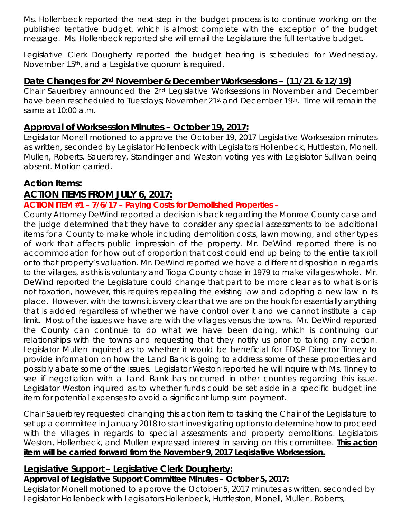Ms. Hollenbeck reported the next step in the budget process is to continue working on the published tentative budget, which is almost complete with the exception of the budget message. Ms. Hollenbeck reported she will email the Legislature the full tentative budget.

Legislative Clerk Dougherty reported the budget hearing is scheduled for Wednesday, November 15th, and a Legislative quorum is required.

#### **Date Changes for 2nd November & December Worksessions – (11/21 & 12/19)**

Chair Sauerbrey announced the 2nd Legislative Worksessions in November and December have been rescheduled to Tuesdays; November 21<sup>st</sup> and December 19<sup>th</sup>. Time will remain the same at 10:00 a.m.

### **Approval of Worksession Minutes – October 19, 2017:**

Legislator Monell motioned to approve the October 19, 2017 Legislative Worksession minutes as written, seconded by Legislator Hollenbeck with Legislators Hollenbeck, Huttleston, Monell, Mullen, Roberts, Sauerbrey, Standinger and Weston voting yes with Legislator Sullivan being absent. Motion carried.

### **Action Items:**

### **ACTION ITEMS FROM JULY 6, 2017:**

#### **ACTION ITEM #1 – 7/6/17 – Paying Costs for Demolished Properties –**

County Attorney DeWind reported a decision is back regarding the Monroe County case and the judge determined that they have to consider any special assessments to be additional items for a County to make whole including demolition costs, lawn mowing, and other types of work that affects public impression of the property. Mr. DeWind reported there is no accommodation for how out of proportion that cost could end up being to the entire tax roll or to that property's valuation. Mr. DeWind reported we have a different disposition in regards to the villages, as this is voluntary and Tioga County chose in 1979 to make villages whole. Mr. DeWind reported the Legislature could change that part to be more clear as to what is or is not taxation, however, this requires repealing the existing law and adopting a new law in its place. However, with the towns it is very clear that we are on the hook for essentially anything that is added regardless of whether we have control over it and we cannot institute a cap limit. Most of the issues we have are with the villages versus the towns. Mr. DeWind reported the County can continue to do what we have been doing, which is continuing our relationships with the towns and requesting that they notify us prior to taking any action. Legislator Mullen inquired as to whether it would be beneficial for ED&P Director Tinney to provide information on how the Land Bank is going to address some of these properties and possibly abate some of the issues. Legislator Weston reported he will inquire with Ms. Tinney to see if negotiation with a Land Bank has occurred in other counties regarding this issue. Legislator Weston inquired as to whether funds could be set aside in a specific budget line item for potential expenses to avoid a significant lump sum payment.

Chair Sauerbrey requested changing this action item to tasking the Chair of the Legislature to set up a committee in January 2018 to start investigating options to determine how to proceed with the villages in regards to special assessments and property demolitions. Legislators Weston, Hollenbeck, and Mullen expressed interest in serving on this committee. **This action item will be carried forward from the November 9, 2017 Legislative Worksession.**

#### **Legislative Support – Legislative Clerk Dougherty:**

#### *Approval of Legislative Support Committee Minutes – October 5, 2017:*

Legislator Monell motioned to approve the October 5, 2017 minutes as written, seconded by Legislator Hollenbeck with Legislators Hollenbeck, Huttleston, Monell, Mullen, Roberts,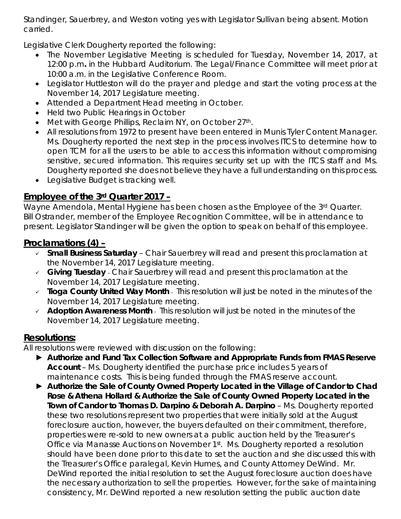Standinger, Sauerbrey, and Weston voting yes with Legislator Sullivan being absent. Motion carried.

Legislative Clerk Dougherty reported the following:

- The November Legislative Meeting is scheduled for Tuesday, November 14, 2017, at 12:00 p.m*.* in the Hubbard Auditorium. The Legal/Finance Committee will meet prior at 10:00 a.m. in the Legislative Conference Room.
- Legislator Huttleston will do the prayer and pledge and start the voting process at the November 14, 2017 Legislature meeting.
- Attended a Department Head meeting in October.
- Held two Public Hearings in October
- Met with George Phillips, Reclaim NY, on October 27th.
- All resolutions from 1972 to present have been entered in Munis Tyler Content Manager. Ms. Dougherty reported the next step in the process involves ITCS to determine how to open TCM for all the users to be able to access this information without compromising sensitive, secured information. This requires security set up with the ITCS staff and Ms. Dougherty reported she does not believe they have a full understanding on this process.
- Legislative Budget is tracking well.

## **Employee of the 3rd Quarter 2017 –**

Wayne Amendola, Mental Hygiene has been chosen as the Employee of the 3rd Quarter. Bill Ostrander, member of the Employee Recognition Committee, will be in attendance to present. Legislator Standinger will be given the option to speak on behalf of this employee.

## **Proclamations (4) –**

- *Small Business Saturday* Chair Sauerbrey will read and present this proclamation at the November 14, 2017 Legislature meeting.
- *Giving Tuesday*  Chair Sauerbrey will read and present this proclamation at the November 14, 2017 Legislature meeting.
- *Tioga County United Way Month* This resolution will just be noted in the minutes of the November 14, 2017 Legislature meeting.
- *Adoption Awareness Month*  This resolution will just be noted in the minutes of the November 14, 2017 Legislature meeting.

## **Resolutions:**

All resolutions were reviewed with discussion on the following:

- ► *Authorize and Fund Tax Collection Software and Appropriate Funds from FMAS Reserve Account* – Ms. Dougherty identified the purchase price includes 5 years of maintenance costs. This is being funded through the FMAS reserve account.
- ► *Authorize the Sale of County Owned Property Located in the Village of Candor to Chad Rose & Athena Hollard* **&** *Authorize the Sale of County Owned Property Located in the*  **Town of Candor to Thomas D. Darpino & Deborah A. Darpino** – Ms. Dougherty reported these two resolutions represent two properties that were initially sold at the August foreclosure auction, however, the buyers defaulted on their commitment, therefore, properties were re-sold to new owners at a public auction held by the Treasurer's Office via Manasse Auctions on November 1st. Ms. Dougherty reported a resolution should have been done prior to this date to set the auction and she discussed this with the Treasurer's Office paralegal, Kevin Humes, and County Attorney DeWind. Mr. DeWind reported the initial resolution to set the August foreclosure auction does have the necessary authorization to sell the properties. However, for the sake of maintaining consistency, Mr. DeWind reported a new resolution setting the public auction date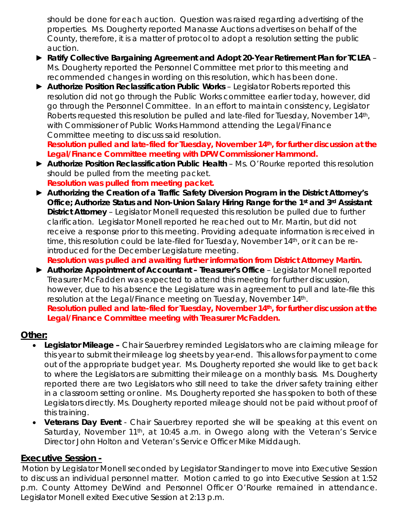should be done for each auction. Question was raised regarding advertising of the properties. Ms. Dougherty reported Manasse Auctions advertises on behalf of the County, therefore, it is a matter of protocol to adopt a resolution setting the public auction.

- ► *Ratify Collective Bargaining Agreement and Adopt 20-Year Retirement Plan for TCLEA* Ms. Dougherty reported the Personnel Committee met prior to this meeting and recommended changes in wording on this resolution, which has been done.
- ► *Authorize Position Reclassification Public Works* Legislator Roberts reported this resolution did not go through the Public Works committee earlier today, however, did go through the Personnel Committee. In an effort to maintain consistency, Legislator Roberts requested this resolution be pulled and late-filed for Tuesday, November 14<sup>th</sup>, with Commissioner of Public Works Hammond attending the Legal/Finance Committee meeting to discuss said resolution.

*Resolution pulled and late-filed for Tuesday, November 14th, for further discussion at the Legal/Finance Committee meeting with DPW Commissioner Hammond.*

- ► *Authorize Position Reclassification Public Health*  Ms. O'Rourke reported this resolution should be pulled from the meeting packet. *Resolution was pulled from meeting packet.*
- ► *Authorizing the Creation of a Traffic Safety Diversion Program in the District Attorney's Office; Authorize Status and Non-Union Salary Hiring Range for the 1st and 3rd Assistant District Attorney* – Legislator Monell requested this resolution be pulled due to further clarification. Legislator Monell reported he reached out to Mr. Martin, but did not receive a response prior to this meeting. Providing adequate information is received in time, this resolution could be late-filed for Tuesday, November 14th, or it can be reintroduced for the December Legislature meeting.

*Resolution was pulled and awaiting further information from District Attorney Martin.*

► *Authorize Appointment of Accountant – Treasurer's Office* – Legislator Monell reported Treasurer McFadden was expected to attend this meeting for further discussion, however, due to his absence the Legislature was in agreement to pull and late-file this resolution at the Legal/Finance meeting on Tuesday, November 14th. *Resolution pulled and late-filed for Tuesday, November 14th, for further discussion at the Legal/Finance Committee meeting with Treasurer McFadden.*

#### **Other:**

- *Legislator Mileage –* Chair Sauerbrey reminded Legislators who are claiming mileage for this year to submit their mileage log sheets by year-end. This allows for payment to come out of the appropriate budget year. Ms. Dougherty reported she would like to get back to where the Legislators are submitting their mileage on a monthly basis. Ms. Dougherty reported there are two Legislators who still need to take the driver safety training either in a classroom setting or online. Ms. Dougherty reported she has spoken to both of these Legislators directly. Ms. Dougherty reported mileage should not be paid without proof of this training.
- *Veterans Day Event* Chair Sauerbrey reported she will be speaking at this event on Saturday, November 11<sup>th</sup>, at 10:45 a.m. in Owego along with the Veteran's Service Director John Holton and Veteran's Service Officer Mike Middaugh.

#### **Executive Session -**

 Motion by Legislator Monell seconded by Legislator Standinger to move into Executive Session to discuss an individual personnel matter. Motion carried to go into Executive Session at 1:52 p.m. County Attorney DeWind and Personnel Officer O'Rourke remained in attendance. Legislator Monell exited Executive Session at 2:13 p.m.